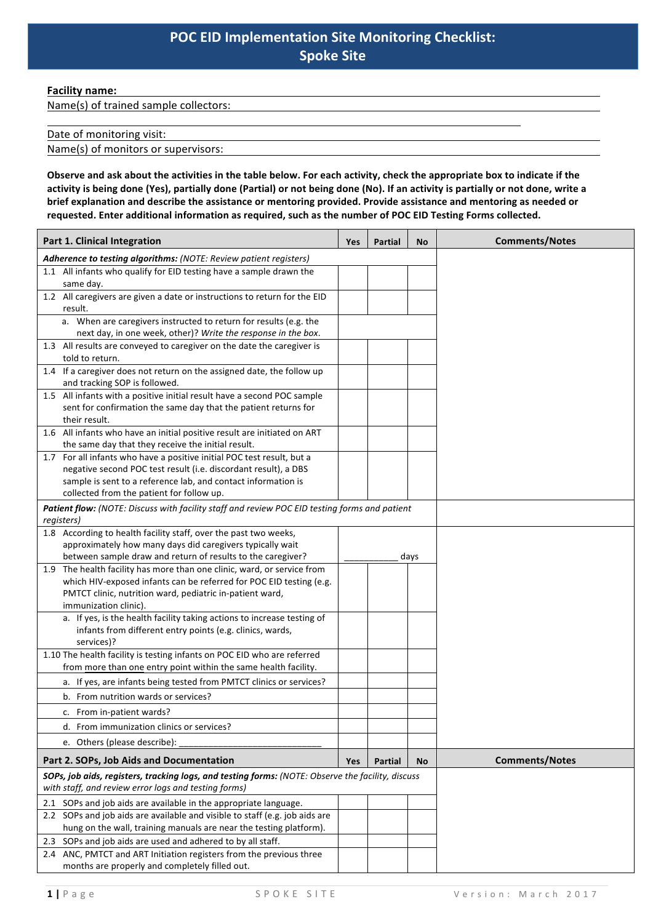**Facility name:** 

Name(s) of trained sample collectors:

## Date of monitoring visit:

Name(s) of monitors or supervisors:

Observe and ask about the activities in the table below. For each activity, check the appropriate box to indicate if the activity is being done (Yes), partially done (Partial) or not being done (No). If an activity is partially or not done, write a **brief** explanation and describe the assistance or mentoring provided. Provide assistance and mentoring as needed or requested. Enter additional information as required, such as the number of POC EID Testing Forms collected.

| Part 1. Clinical Integration                                                                                                                                | Yes | <b>Partial</b> | No   | <b>Comments/Notes</b> |  |  |
|-------------------------------------------------------------------------------------------------------------------------------------------------------------|-----|----------------|------|-----------------------|--|--|
| Adherence to testing algorithms: (NOTE: Review patient registers)                                                                                           |     |                |      |                       |  |  |
| 1.1 All infants who qualify for EID testing have a sample drawn the<br>same day.                                                                            |     |                |      |                       |  |  |
| 1.2 All caregivers are given a date or instructions to return for the EID<br>result.                                                                        |     |                |      |                       |  |  |
| a. When are caregivers instructed to return for results (e.g. the                                                                                           |     |                |      |                       |  |  |
| next day, in one week, other)? Write the response in the box.                                                                                               |     |                |      |                       |  |  |
| 1.3 All results are conveyed to caregiver on the date the caregiver is<br>told to return.                                                                   |     |                |      |                       |  |  |
| 1.4 If a caregiver does not return on the assigned date, the follow up<br>and tracking SOP is followed.                                                     |     |                |      |                       |  |  |
| 1.5 All infants with a positive initial result have a second POC sample<br>sent for confirmation the same day that the patient returns for<br>their result. |     |                |      |                       |  |  |
|                                                                                                                                                             |     |                |      |                       |  |  |
| 1.6 All infants who have an initial positive result are initiated on ART<br>the same day that they receive the initial result.                              |     |                |      |                       |  |  |
| 1.7 For all infants who have a positive initial POC test result, but a                                                                                      |     |                |      |                       |  |  |
| negative second POC test result (i.e. discordant result), a DBS                                                                                             |     |                |      |                       |  |  |
| sample is sent to a reference lab, and contact information is                                                                                               |     |                |      |                       |  |  |
| collected from the patient for follow up.                                                                                                                   |     |                |      |                       |  |  |
| Patient flow: (NOTE: Discuss with facility staff and review POC EID testing forms and patient<br>registers)                                                 |     |                |      |                       |  |  |
| 1.8 According to health facility staff, over the past two weeks,                                                                                            |     |                |      |                       |  |  |
| approximately how many days did caregivers typically wait                                                                                                   |     |                |      |                       |  |  |
| between sample draw and return of results to the caregiver?                                                                                                 |     |                | days |                       |  |  |
| 1.9 The health facility has more than one clinic, ward, or service from                                                                                     |     |                |      |                       |  |  |
| which HIV-exposed infants can be referred for POC EID testing (e.g.                                                                                         |     |                |      |                       |  |  |
| PMTCT clinic, nutrition ward, pediatric in-patient ward,                                                                                                    |     |                |      |                       |  |  |
| immunization clinic).                                                                                                                                       |     |                |      |                       |  |  |
| a. If yes, is the health facility taking actions to increase testing of<br>infants from different entry points (e.g. clinics, wards,<br>services)?          |     |                |      |                       |  |  |
| 1.10 The health facility is testing infants on POC EID who are referred                                                                                     |     |                |      |                       |  |  |
| from more than one entry point within the same health facility.                                                                                             |     |                |      |                       |  |  |
| a. If yes, are infants being tested from PMTCT clinics or services?                                                                                         |     |                |      |                       |  |  |
| b. From nutrition wards or services?                                                                                                                        |     |                |      |                       |  |  |
| c. From in-patient wards?                                                                                                                                   |     |                |      |                       |  |  |
| d. From immunization clinics or services?                                                                                                                   |     |                |      |                       |  |  |
| e. Others (please describe):                                                                                                                                |     |                |      |                       |  |  |
| Part 2. SOPs, Job Aids and Documentation                                                                                                                    | Yes | Partial        | No   | <b>Comments/Notes</b> |  |  |
| SOPs, job aids, registers, tracking logs, and testing forms: (NOTE: Observe the facility, discuss<br>with staff, and review error logs and testing forms)   |     |                |      |                       |  |  |
| 2.1 SOPs and job aids are available in the appropriate language.                                                                                            |     |                |      |                       |  |  |
| 2.2 SOPs and job aids are available and visible to staff (e.g. job aids are                                                                                 |     |                |      |                       |  |  |
| hung on the wall, training manuals are near the testing platform).                                                                                          |     |                |      |                       |  |  |
| 2.3 SOPs and job aids are used and adhered to by all staff.                                                                                                 |     |                |      |                       |  |  |
| 2.4 ANC, PMTCT and ART Initiation registers from the previous three                                                                                         |     |                |      |                       |  |  |
| months are properly and completely filled out.                                                                                                              |     |                |      |                       |  |  |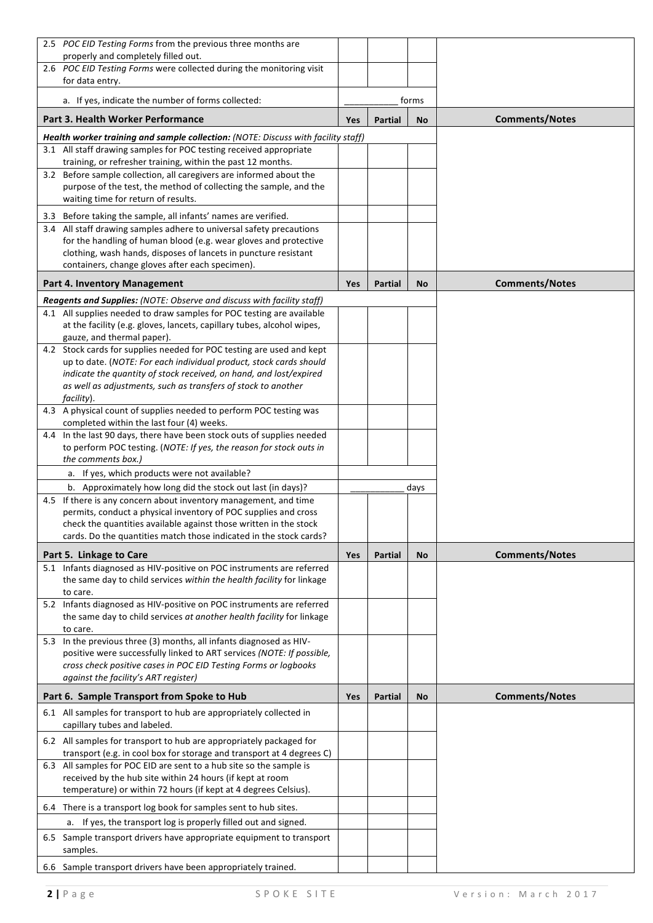| 2.5 POC EID Testing Forms from the previous three months are                                                                                    |            |                |       |                       |
|-------------------------------------------------------------------------------------------------------------------------------------------------|------------|----------------|-------|-----------------------|
| properly and completely filled out.<br>2.6 POC EID Testing Forms were collected during the monitoring visit                                     |            |                |       |                       |
| for data entry.                                                                                                                                 |            |                |       |                       |
| a. If yes, indicate the number of forms collected:                                                                                              |            |                | forms |                       |
| <b>Part 3. Health Worker Performance</b>                                                                                                        | Yes        | Partial        | No    | <b>Comments/Notes</b> |
| Health worker training and sample collection: (NOTE: Discuss with facility staff)                                                               |            |                |       |                       |
| 3.1 All staff drawing samples for POC testing received appropriate<br>training, or refresher training, within the past 12 months.               |            |                |       |                       |
| 3.2 Before sample collection, all caregivers are informed about the                                                                             |            |                |       |                       |
| purpose of the test, the method of collecting the sample, and the                                                                               |            |                |       |                       |
| waiting time for return of results.                                                                                                             |            |                |       |                       |
| 3.3 Before taking the sample, all infants' names are verified.                                                                                  |            |                |       |                       |
| 3.4 All staff drawing samples adhere to universal safety precautions                                                                            |            |                |       |                       |
| for the handling of human blood (e.g. wear gloves and protective                                                                                |            |                |       |                       |
| clothing, wash hands, disposes of lancets in puncture resistant                                                                                 |            |                |       |                       |
| containers, change gloves after each specimen).                                                                                                 |            |                |       |                       |
| <b>Part 4. Inventory Management</b>                                                                                                             | <b>Yes</b> | Partial        | No    | <b>Comments/Notes</b> |
| Reagents and Supplies: (NOTE: Observe and discuss with facility staff)<br>4.1 All supplies needed to draw samples for POC testing are available |            |                |       |                       |
| at the facility (e.g. gloves, lancets, capillary tubes, alcohol wipes,                                                                          |            |                |       |                       |
| gauze, and thermal paper).                                                                                                                      |            |                |       |                       |
| 4.2 Stock cards for supplies needed for POC testing are used and kept                                                                           |            |                |       |                       |
| up to date. (NOTE: For each individual product, stock cards should                                                                              |            |                |       |                       |
| indicate the quantity of stock received, on hand, and lost/expired                                                                              |            |                |       |                       |
| as well as adjustments, such as transfers of stock to another<br>facility).                                                                     |            |                |       |                       |
| 4.3 A physical count of supplies needed to perform POC testing was                                                                              |            |                |       |                       |
| completed within the last four (4) weeks.                                                                                                       |            |                |       |                       |
| 4.4 In the last 90 days, there have been stock outs of supplies needed                                                                          |            |                |       |                       |
| to perform POC testing. (NOTE: If yes, the reason for stock outs in                                                                             |            |                |       |                       |
| the comments box.)<br>a. If yes, which products were not available?                                                                             |            |                |       |                       |
| b. Approximately how long did the stock out last (in days)?                                                                                     | days       |                |       |                       |
| 4.5 If there is any concern about inventory management, and time                                                                                |            |                |       |                       |
| permits, conduct a physical inventory of POC supplies and cross                                                                                 |            |                |       |                       |
| check the quantities available against those written in the stock                                                                               |            |                |       |                       |
| cards. Do the quantities match those indicated in the stock cards?                                                                              |            |                |       |                       |
| Part 5. Linkage to Care                                                                                                                         | Yes        | <b>Partial</b> | No    | <b>Comments/Notes</b> |
| 5.1 Infants diagnosed as HIV-positive on POC instruments are referred                                                                           |            |                |       |                       |
| the same day to child services within the health facility for linkage<br>to care.                                                               |            |                |       |                       |
| 5.2 Infants diagnosed as HIV-positive on POC instruments are referred                                                                           |            |                |       |                       |
| the same day to child services at another health facility for linkage                                                                           |            |                |       |                       |
| to care.                                                                                                                                        |            |                |       |                       |
| 5.3 In the previous three (3) months, all infants diagnosed as HIV-                                                                             |            |                |       |                       |
| positive were successfully linked to ART services (NOTE: If possible,<br>cross check positive cases in POC EID Testing Forms or logbooks        |            |                |       |                       |
| against the facility's ART register)                                                                                                            |            |                |       |                       |
| Part 6. Sample Transport from Spoke to Hub                                                                                                      | <b>Yes</b> | <b>Partial</b> | No    | <b>Comments/Notes</b> |
| 6.1 All samples for transport to hub are appropriately collected in                                                                             |            |                |       |                       |
| capillary tubes and labeled.                                                                                                                    |            |                |       |                       |
| 6.2 All samples for transport to hub are appropriately packaged for<br>transport (e.g. in cool box for storage and transport at 4 degrees C)    |            |                |       |                       |
| 6.3 All samples for POC EID are sent to a hub site so the sample is                                                                             |            |                |       |                       |
| received by the hub site within 24 hours (if kept at room                                                                                       |            |                |       |                       |
| temperature) or within 72 hours (if kept at 4 degrees Celsius).                                                                                 |            |                |       |                       |
| 6.4 There is a transport log book for samples sent to hub sites.                                                                                |            |                |       |                       |
| a. If yes, the transport log is properly filled out and signed.                                                                                 |            |                |       |                       |
| 6.5 Sample transport drivers have appropriate equipment to transport                                                                            |            |                |       |                       |
| samples.                                                                                                                                        |            |                |       |                       |
| 6.6 Sample transport drivers have been appropriately trained.                                                                                   |            |                |       |                       |